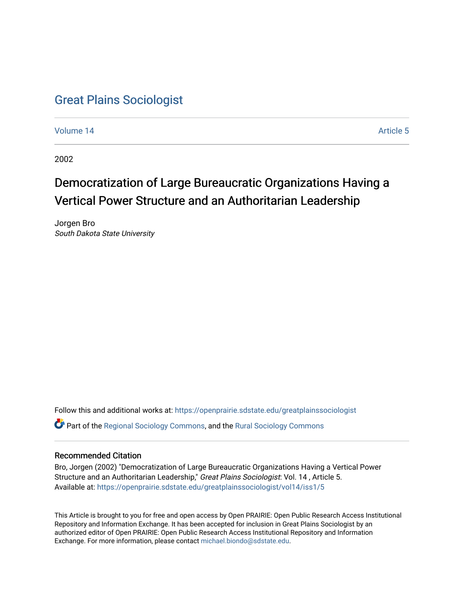## [Great Plains Sociologist](https://openprairie.sdstate.edu/greatplainssociologist)

[Volume 14](https://openprairie.sdstate.edu/greatplainssociologist/vol14) Article 5

2002

# Democratization of Large Bureaucratic Organizations Having a Vertical Power Structure and an Authoritarian Leadership

Jorgen Bro South Dakota State University

Follow this and additional works at: [https://openprairie.sdstate.edu/greatplainssociologist](https://openprairie.sdstate.edu/greatplainssociologist?utm_source=openprairie.sdstate.edu%2Fgreatplainssociologist%2Fvol14%2Fiss1%2F5&utm_medium=PDF&utm_campaign=PDFCoverPages)  Part of the [Regional Sociology Commons](http://network.bepress.com/hgg/discipline/427?utm_source=openprairie.sdstate.edu%2Fgreatplainssociologist%2Fvol14%2Fiss1%2F5&utm_medium=PDF&utm_campaign=PDFCoverPages), and the [Rural Sociology Commons](http://network.bepress.com/hgg/discipline/428?utm_source=openprairie.sdstate.edu%2Fgreatplainssociologist%2Fvol14%2Fiss1%2F5&utm_medium=PDF&utm_campaign=PDFCoverPages) 

#### Recommended Citation

Bro, Jorgen (2002) "Democratization of Large Bureaucratic Organizations Having a Vertical Power Structure and an Authoritarian Leadership," Great Plains Sociologist: Vol. 14 , Article 5. Available at: [https://openprairie.sdstate.edu/greatplainssociologist/vol14/iss1/5](https://openprairie.sdstate.edu/greatplainssociologist/vol14/iss1/5?utm_source=openprairie.sdstate.edu%2Fgreatplainssociologist%2Fvol14%2Fiss1%2F5&utm_medium=PDF&utm_campaign=PDFCoverPages)

This Article is brought to you for free and open access by Open PRAIRIE: Open Public Research Access Institutional Repository and Information Exchange. It has been accepted for inclusion in Great Plains Sociologist by an authorized editor of Open PRAIRIE: Open Public Research Access Institutional Repository and Information Exchange. For more information, please contact [michael.biondo@sdstate.edu.](mailto:michael.biondo@sdstate.edu)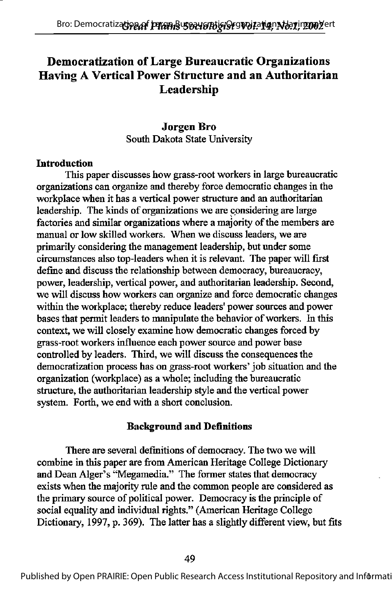### Democratization of Large Bureaucratic Organizations Having A Vertical Power Structure and an Authoritarian Leadership

#### Jorgen Bro South Dakota State University

#### **Introduction**

This paper discusses how grass-root workers in large bureaucratic organizations can organize and thereby force democratic changes in the workplace when it has a vertical power structure and an authoritarian leadership. The kinds of organizations we are considering are large factories and similar organizations where a majority of the members are manual or low skilled workers. When we discuss leaders, we are primarily considering the management leadership, but under some circumstances also top-leaders when it is relevant. The paper will first define and discuss the relationship between democracy, bureaucracy, power, leadership, vertical power, and authoritarian leadership. Second, we will discuss how workers can organize and force democratic changes within the workplace; thereby reduce leaders' power sources and power bases that permit leaders to manipulate the behavior of workers. In this context, we will closely examine how democratic changes forced by grass-root workers influence each power source and power base controlled by leaders. Third, we will discuss the consequences the democratization process has on grass-root workers' job situation and the organization (workplace) as a whole; including the bureaucratic structure, the authoritarian leadership style and the vertical power system. Forth, we end with a short conclusion.

#### **Background and Definitions**

There are several definitions of democracy. The two we will combine in this paper are from American Heritage College Dictionary and Dean Alger's "Megamedia." The former states that democracy exists when the majority rule and the common people are considered as the primary source of political power. Democracy is the principle of social equality and individual rights." (American Heritage College Dictionary, 1997, p. 369). The latter has a slightly different view, but fits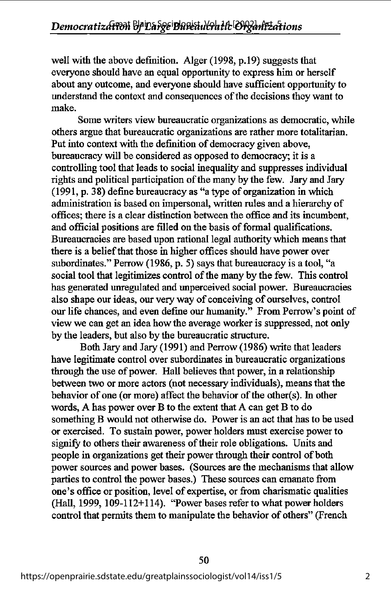well with the above definition. Alger (1998, p.l9) suggests that everyone should have an equal opportunity to express him or herself about any outcome, and everyone should have sufficient opportunity to understand the context and consequences of the decisions they want to make.

Some writers view bureaucratic organizations as democratic, while others argue that bureaucratic organizations are rather more totalitarian. Put into context with the definition of democracy given above, bureaucracy will be considered as opposed to democracy; it is a controlling tool that leads to social inequality and suppresses individual rights and political participation of the many by the few. Jary and Jary (1991, p. 38) define bureaucracy as "a type of organization in which administration is based on impersonal, written rules and a hierarchy of offices; there is a clear distinction between the office and its incumbent, and official positions are filled on the basis of formal qualifications. Bureaucracies are based upon rational legal authority which means that there is a belief that those in higher offices should have power over subordinates." Perrow (1986, p. 5) says that bureaucracy is a tool, "a social tool that legitimizes control of the many by the few. This control has generated unregulated and unperceived social power. Bureaucracies also shape our ideas, our very way of conceiving of ourselves, control our life chances, and even define our humanity." From Perrow's point of view we can get an idea how the average worker is suppressed, not only by the leaders, but also by the bureaucratic structure.

Both Jary and Jary (1991) and Perrow (1986) write that leaders have legitimate control over subordinates in bureaucratic organizations through the use of power. Hall believes that power, in a relationship between two or more actors (not necessary individuals), means that the behavior of one (or more) affect the behavior of the other(s). In other words, A has power over B to the extent that A can get B to do something B would not otherwise do. Power is an act that has to be used or exercised. To sustain power, power holders must exercise power to signify to others their awareness of their role obligations. Units and people in organizations get their power through their control of both power sources and power bases. (Sources are the mechanisms that allow parties to control the power bases.) These sources can emanate from one's office or position, level of expertise, or from charismatic qualities (Hall, 1999,  $109-112+114$ ). "Power bases refer to what power holders control that permits them to manipulate the behavior of others" (French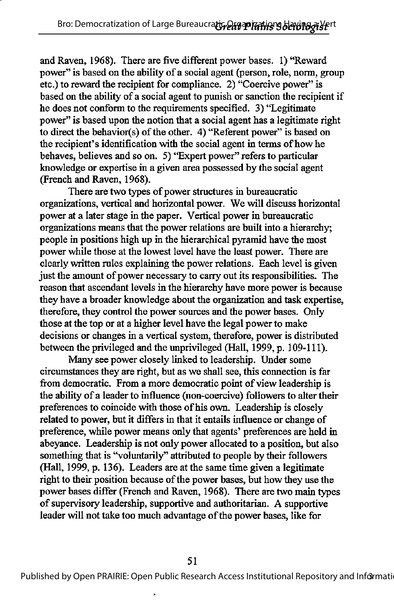and Raven, 1968). There are five different power bases. I) "Reward power" is based on the ability of a social agent (person, role, norm, group etc.) to reward the recipient for compliance. 2) "Coercive power" is based on the ability of a social agent to punish or sanction the recipient if he does not conform to the requirements specified. 3) "Legitimate power" is based upon the notion that a social agent has a legitimate right to direct the behavior(s) of the other. 4) "Referent power" is based on the recipient's identification with the social agent in terms of how he behaves, believes and so on. 5) "Expert power" refers to particular knowledge or expertise in a given area possessed by the social agent (French and Raven, 1968).

There are two types of power structures in bureaucratic organizations, vertical and horizontal power. We will discuss horizontal power at a later stage in the paper. Vertical power in bureaucratic organizations means that the power relations are built into a hierarchy; people in positions high up in the hierarchical pyramid have the most power while those at the lowest level have the least power. There are clearly written rules explaining the power relations. Each level is given just the amount of power necessary to carry out its responsibilities. The reason that ascendant levels in the hierarchy have more power is because they have a broader knowledge about the organization and task expertise, therefore, they control the power sources and the power bases. Only those at the top or at a higher level have the legal power to make decisions or changes in a vertical system, therefore, power is distributed between the privileged and the unprivileged (Hall, 1999, p. 109-111).

Many see power closely linked to leadership. Under some circumstances they are right, but as we shall see, this connection is far from democratic. From a more democratic point of view leadership is the ability of a leader to influence (non-coercive) followers to alter their preferences to coincide with those of his own. Leadership is closely related to power, but it differs in that it entails influence or change of preference, while power means only that agents' preferences are held in abeyance. Leadership is not only power allocated to a position, but also something that is "voluntarily" attributed to people by their followers (Hall, 1999, p. 136). Leaders are at the same time given a legitimate right to their position because of the power bases, but how they use the power bases differ (French and Raven, 1968). There are two main types of supervisory leadership, supportive and authoritarian. A supportive leader will not take too much advantage of the power bases, like for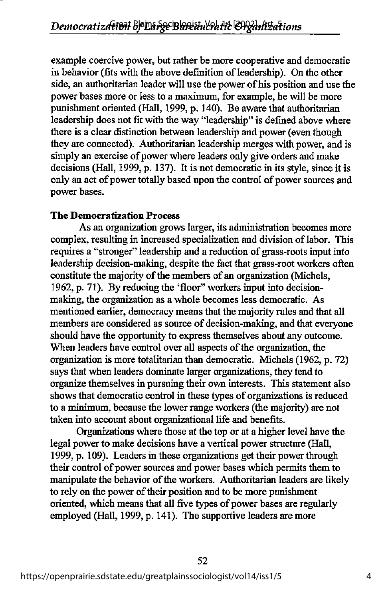example coercive power, but rather be more cooperative and democratic in behavior (fits with the above definition of leadership). On the other side, an authoritarian leader will use the power of his position and use the power bases more or less to a maximum, for example, he will be more punishment oriented (Hall, 1999, p. 140). Be aware that authoritarian leadership does not fit with the way "leadership" is defined above where there is a clear distinction between leadership and power (even though they are connected). Authoritarian leadership merges with power, and is simply an exercise of power where leaders only give orders and make decisions (Hall, 1999, p. 137). It is not democratic in its style, since it is only an act of power totally based upon the control of power sources and power bases.

#### The Democratization Process

As an organization grows larger, its administration becomes more complex, resulting in increased specialization and division of labor. This requires a "stronger" leadership and a reduction of grass-roots input into leadership decision-making, despite the fact that grass-root workers often constitute the majority of the members of an organization (Michels, 1962, p. 71). By reducing the 'floor" workers input into decisionmaking, the organization as a whole becomes less democratic. As mentioned earlier, democracy means that the majority rules and that all members are considered as source of decision-making, and that everyone should have the opportunity to express themselves about any outcome. When leaders have control over all aspects of the organization, the organization is more totalitarian than democratic. Michels (1962, p. 72) says that when leaders dominate larger organizations, they tend to organize themselves in pursuing their own interests. This statement also shows that democratic control in these types of organizations is reduced to a minimum, because the lower range workers (the majority) are not taken into account about organizational life and benefits.

Organizations where those at the top or at a higher level have the legal power to make decisions have a vertical power structure (Hall, 1999, p. 109). Leaders in these organizations get their power through their control of power sources and power bases which permits them to manipulate the behavior of the workers. Authoritarian leaders are likely to rely on the power of their position and to be more punishment oriented, which means that all five types of power bases are regularly employed (Hall, 1999, p. 141). The supportive leaders are more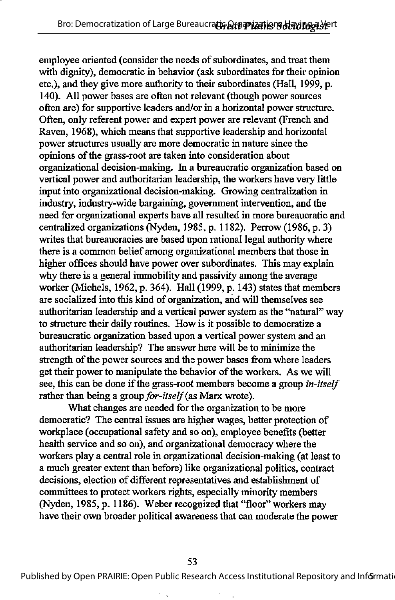employee oriented (consider the needs of subordinates, and treat them with dignity), democratic in behavior (ask subordinates for their opinion etc.), and they give more authority to their subordinates (Hall, 1999, p. 140). All power bases are often not relevant (though power sources often are) for supportive leaders and/or in a horizontal power structure. Often, only referent power and expert power are relevant (French and Raven, 1968), which means that supportive leadership and horizontal power structures usually are more democratic in nature since the opinions ofthe grass-root are taken into consideration about organizational decision-making. In a bureaucratic organization based on vertical power and authoritarian leadership, the workers have very little input into organizational decision-making. Growing centralization in industry, industry-wide bargaining, government intervention, and the need for organizational experts have all resulted in more bureaucratic and centralized organizations (Nyden, 1985, p. 1182). Perrow (1986, p. 3) writes that bureaucracies are based upon rational legal authority where there is a common belief among organizational members that those in higher offices should have power over subordinates. This may explain why there is a general immobility and passivity among the average worker (Michels, 1962, p. 364). Hall (1999, p. 143) states that members are socialized into this kind of organization, and will themselves see authoritarian leadership and a vertical power system as the "natural" way to structure their daily routines. How is it possible to democratize a bureaucratic organization based upon a vertical power system and an authoritarian leadership? The answer here will be to minimize the strength of the power sources and the power bases from where leaders get their power to manipulate the behavior of the workers. As we will see, this can be done if the grass-root members become a group *in-itself* rather than being a group for-itself (as Marx wrote).

What changes are needed for the organization to be more democratic? The central issues are higher wages, better protection of workplace (occupational safety and so on), employee benefits (better health service and so on), and organizational democracy where the workers play a central role in organizational decision-making (at least to a much greater extent than before) like organizational politics, contract decisions, election of different representatives and establishment of committees to protect workers rights, especially minority members (Nyden, 1985, p. 1186). Weber recognized that "floor" workers may have their own broader political awareness that can moderate the power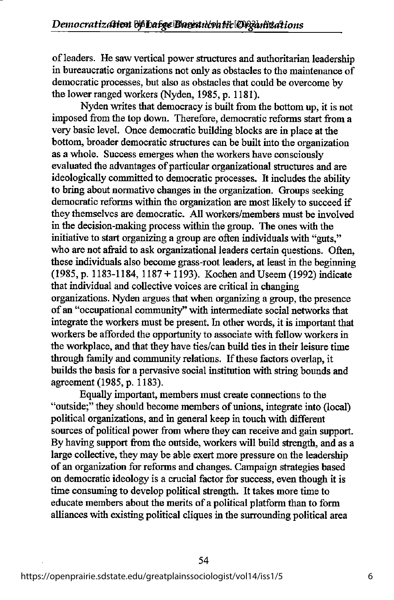of leaders. He saw vertical power structures and authoritarian leadership in bureaucratic organizations not only as obstacles to the maintenance of democratic processes, but also as obstacles that could be overcome by the lower ranged workers (Nyden, 1985, p. 1181).

Nyden writes that democracy is built from the bottom up, it is not imposed from the top down. Therefore, democratic reforms start from a very basic level. Once democratic building blocks are in place at the bottom, broader democratic structures can be built into the organization as a whole. Success emerges when the workers have consciously evaluated the advantages of particular organizational structures and are ideologically committed to democratic processes. It includes the ability to bring about normative changes in the organization. Groups seeking democratic reforms within the organization are most likely to succeed if they themselves are democratic. All workers/members must be involved in the decision-making process within the group. The ones with the initiative to start organizing a group are often individuals with "guts," who are not afraid to ask organizational leaders certain questions. Often, these individuals also become grass-root leaders, at least in the beginning (1985, p. 1183-1184, 1187 + 1193). Kochen and Useem (1992) indicate that individual and collective voices are critical in changing organizations.Nyden argues that when organizing a group, the presence of an "occupational community" with intermediate social networks that integrate the workers must be present. In other words, it is important that workers be afforded the opportunity to associate with fellow workers in the workplace, and that they have ties/can build ties in their leisure time through family and community relations. If these factors overlap, it builds the basis for a pervasive social institution with string bounds and agreement (1985, p. 1183).

Equally important, members must create connections to the "outside;" they should become members of unions, integrate into (local) political organizations, and in general keep in touch with different sources of political power from where they can receive and gain support. By having support from the outside, workers will build strength, and as a large collective, they may be able exert more pressure on the leadership of an organization for reforms and changes. Campaign strategies based on democratic ideology is a crucial factor for success, even though it is time consuming to develop political strength. It takes more time to educate members about the merits of a political platform than to form alliances with existing political cliques in the surrounding political area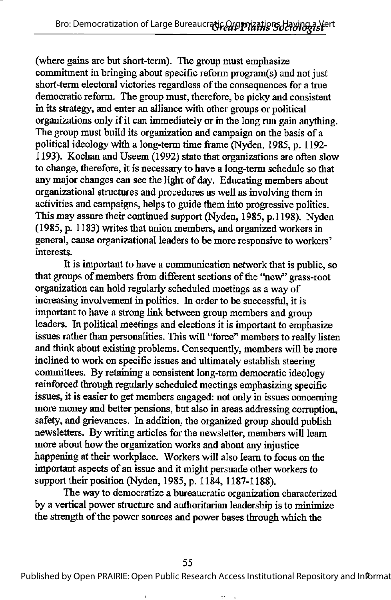(where gains are but short-term). The group must emphasize commitment in bringing about specific reform program(s) and not just short-term electoral victories regardless of the consequences for a true democratic reform. The group must, therefore, be picky and consistent in its strategy, and enter an alliance with other groups or political organizations only if it can immediately or in the long run gain anything. The group must build its organization and campaign on the basis of a political ideology with a long-term time frame (Nyden, 1985, p. 1192-1193). Kochan and Useem (1992) state that organizations are often slow to change, therefore, it is necessary to have a long-term schedule so that any major changes can see the light of day. Educating members about organizational structures and procedures as well as involving them in activities and campaigns, helps to guide them into progressive politics. This may assure their continued support (Nyden, 1985, p.1198). Nyden (1985, p. 1183) writes that union members, and organized workers in general, cause organizational leaders to be more responsive to workers' interests.

It is important to have a communication network that is public, so that groups of members from different sections of the "new" grass-root organization can hold regularly scheduled meetings as a way of increasing involvement in politics. In order to be successful, it is important to have a strong link between group members and group leaders. In political meetings and elections it is important to emphasize issues rather than personalities. This will "force" members to really listen and think about existing problems. Consequently, members will be more inclined to work on specific issues and ultimately establish steering committees. By retaining a consistent long-term democratic ideology reinforced through regularly scheduled meetings emphasizing specific issues, it is easier to get members engaged: not only in issues concerning more money and better pensions, but also in areas addressing corruption, safety, and grievances. In addition, the organized group should publish newsletters. By writing articles for the newsletter, members will leam more about how the organization works and about any injustice happening at their workplace. Workers will also leam to focus on the important aspects of an issue and it might persuade other workers to support their position (Nyden, 1985, p. 1184, 1187-1188).

The way to democratize a bureaucratic organization characterized by a vertical power stmcture and authoritarian leadership is to minimize the strength of the power sources and power bases through which the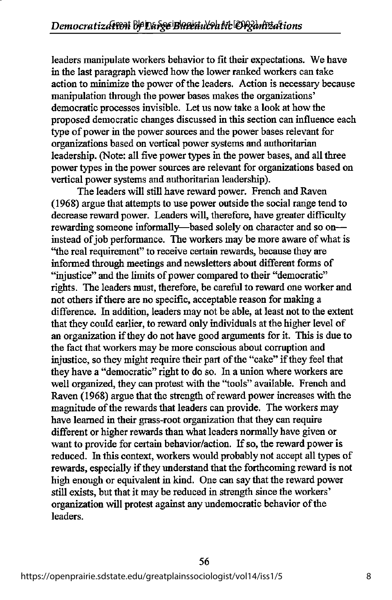leaders manipulate workers behavior to fit their expectations. We have in the last paragraph viewed how the lower ranked workers can take action to minimize the power of the leaders. Action is necessary because manipulation through the power bases makes the organizations' democratic processes invisible. Let us now take a look at how the proposed democratic changes discussed in this section can influence each type of power in the power sources and the power bases relevant for organi25ations based on vertical power systems and authoritarian leadership. (Note: all five power types in the power bases, and all three power types in the power sources are relevant for organizations based on vertical power systems and authoritarian leadership).

The leaders will still have reward power. French and Raven (1968) argue that attempts to use power outside the social range tend to decrease reward power. Leaders will, therefore, have greater difficulty rewarding someone informally—based solely on character and so on instead of job performance. The workers may be more aware of what is \*the real requirement" to receive certain rewards, because they are informed through meetings and newsletters about different forms of "injustice" and the limits of power compared to their "democratic" rights. The leaders must, therefore, be careful to reward one worker and not others if there are no specific, acceptable reason for making a difference. In addition, leaders may not be able, at least not to the extent that they could earlier, to reward only individuals at the higher level of an organization ifthey do not have good arguments for it. This is due to the fact that workers may be more conscious about corruption and injustice, so they might require their part of the "cake" if they feel that they have a "democratic" right to do so. In a union where workers are well organized, they can protest with the "tools" available. French and Raven (1968) argue that the strength of reward power increases with the magnitude of the rewards that leaders can provide. The workers may have learned in their grass-root organization that they can require different or higher rewards than what leaders normally have given or want to provide for certain behavior/action. If so, the reward power is reduced. In this context, workers would probably not accept all types of rewards, especially if they understand that the forthcoming reward is not high enough or equivalent in kind. One can say that the reward power still exists, but that it may be reduced in strength since the workers' organization will protest against any undemocratic behavior of the leaders.

56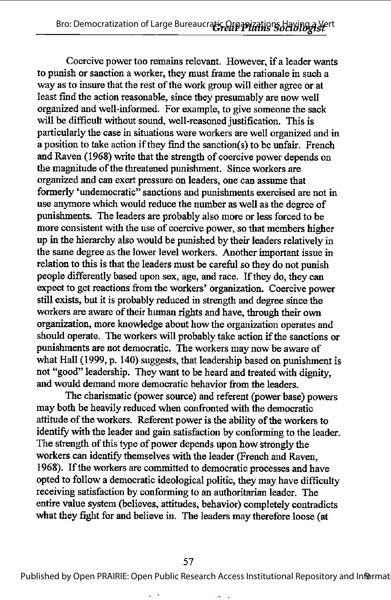Coercive power too remains relevant. However, if a leader wants to punish or sanction a worker, they must frame the rationale in such a way as to insure that the rest of the work group will either agree or at least find the action reasonable, since they presumably are now well organized and well-informed. For example, to give someone the sack will be difficult without sound, well-reasoned justification. This is particularly the case in situations were workers are well organized and in a position to take action if they find the sanction(s) to be unfair. French and Raven (1968) write that the strength of coercive power depends on the magnitude of the threatened punishment. Since workers are organized and can exert pressure on leaders, one can assume that formerly 'undemocratic" sanctions and punishments exercised are not in use anymore which would reduce the number as well as the degree of punishments. The leaders are probably also more or less forced to be more consistent with the use of coercive power, so that members higher up in the hierarchy also would be punished by their leaders relatively in the same degree as the lower level workers. Another important issue in relation to this is that the leaders must be careful so they do not punish people differently based upon sex, age, and race. If they do, they can expect to get reactions from the workers' organization. Coercive power still exists, but it is probably reduced in strength and degree since the workers are aware of their human rights and have, through their own organization, more knowledge about how the organization operates and should operate. The workers will probably take action if the sanctions or punishments are not democratic. The workers may now be aware of what Hall (1999, p. 140) suggests, that leadership based on punishment is not "good" leadership. They want to be heard and treated with dignity, and would demand more democratic behavior from the leaders.

The charismatic (power source) and referent (power base) powers may both be heavily reduced when confronted with the democratic attitude of the workers. Referent power is the ability of the workers to identify with the leader and gain satisfaction by conforming to the leader. The strength of this type of power depends upon how strongly the workers can identify themselves with the leader (French and Raven, 1968). If the workers are committed to democratic processes and have opted to follow a democratic ideological politic, they may have difficulty receiving satisfaction by conforming to an authoritarian leader. The entire value system(believes, attitudes, behavior) completely contradicts what they fight for and believe in. The leaders may therefore loose (at

Published by Open PRAIRIE: Open Public Research Access Institutional Repository and Informat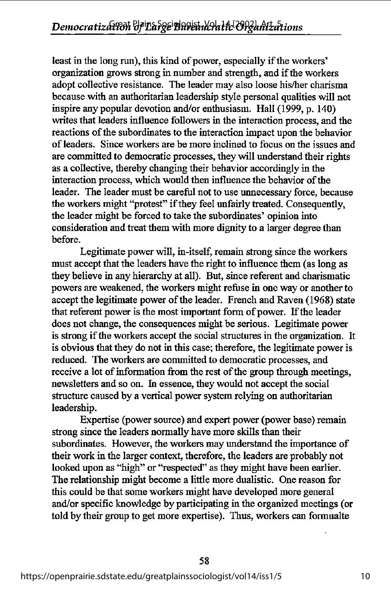least in the long run), this kind of power, especially if the workers' organization grows strong in number and strength, and if the workers adopt collective resistance. The leader may also loose his/her charisma because with an authoritarian leadership style personal qualities will not inspire any popular devotion and/or enthusiasm. Hall (1999, p. 140) writes that leaders influence followers in the interaction process, and the reactions of the subordinates to the interaction impact upon the behavior of leaders. Since workers are be more inclined to focus on the issues and are committed to democratic processes, they will understand their rights as a collective, thereby changing their behavior accordingly in the interaction process, which would then influence the behavior of the leader. The leader must be careful not to use unnecessary force, because the workers might "protest" if they feel unfairly treated. Consequently, the leader might be forced to take the subordinates' opinion into consideration and treat them with more dignity to a larger degree than before.

Legitimate power will, in-itself, remain strong since the workers must accept that the leaders have the right to influence them (as long as they believe in any hierarchy at all). But, since referent and charismatic powers are weakened, the workers might refuse in one way or another to accept the legitimate power of the leader. French and Raven (1968) state that referent power is the most important form of power. If the leader does not change, the consequences might be serious. Legitimate power is strong if the workers accept the social structures in the organization. It is obvious that they do not in this case; therefore, the legitimate power is reduced. The workers are committed to democratic processes, and receive a lot of information from the rest of the group through meetings, newsletters and so on. hi essence, they would not accept the social structure caused by a vertical power system relying on authoritarian leadership.

Expertise (power source) and expert power (power base) remain strong since the leaders normally have more skills than their subordinates. However, the workers may understand the importance of their work in the larger context, therefore, the leaders are probably not looked upon as "high" or "respected" as they might have been earlier. The relationship might become a little more dualistic. One reason for this could be that some workers might have developed more general and/or specific knowledge by participating in the organized meetings (or told by their group to get more expertise). Thus, workers can formualte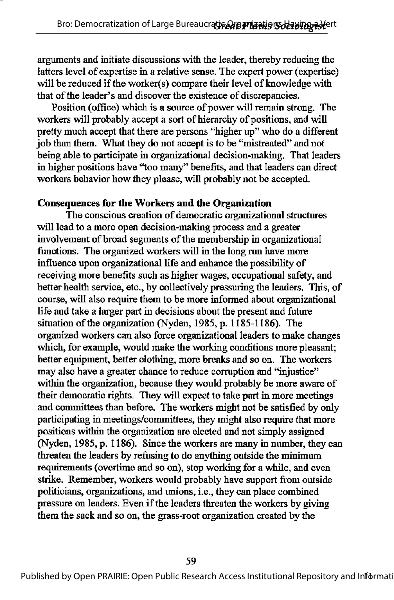arguments and initiate discussions with the leader, thereby reducing the latters level of expertise in a relative sense. The expert power (expertise) will be reduced if the worker(s) compare their level of knowledge with that of the leader's and discover the existence of discrepancies.

Position (office) which is a source of power will remain strong. The workers will probably accept a sort of hierarchy of positions, and will pretty much accept that there are persons "higher up" who do a different job dian them. What they do not accept is to be "mistreated" and not being able to participate in organizational decision-making. That leaders in higher positions have \*too many" benefits, and that leaders can direct workers behavior how they please, will probably not be accepted.

#### Consequences for the Workers and the Organization

The conscious creation of democratic organizational structures will lead to a more open decision-making process and a greater involvement of broad segments of the membership in organizational functions. The organized workers will in the long run have more influence upon organizational life and enhance the possibility of receiving more benefits such as higher wages, occupational safety, and better health service, etc., by collectively pressuring the leaders. This, of course, will also require them to be more informed about organizational life and take a larger part in decisions about the present and future situation of the organization (Nyden, 1985, p. 1185-1186). The organized workers can also force organizational leaders to make changes which, for example, would make the working conditions more pleasant; better equipment, better clothing, more breaks and so on. The workers may also have a greater chance to reduce corruption and "injustice" within the organization, because they would probably be more aware of their democratic rights. They will expect to take part in more meetings and committees than before. The workers might not be satisfied by only participating in meetings/committees, they might also require that more positions within the organization are elected and not simply assigned (Nyden, 1985, p. 1186). Since the workers are many in number, they can threaten the leaders by refusing to do anything outside the minimum requirements (overtime and so on), stop working for a while, and even strike. Remember, workers would probably have support from outside politicians, organizations, and unions, i.e., they can place combined pressure on leaders. Even if the leaders threaten the workers by giving them the sack and so on, the grass-root organization created by the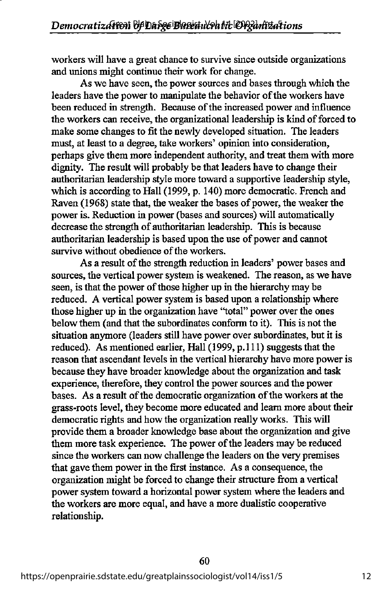workers will have a great chance to survive since outside organizations and unions might continue their work for change.

As we have seen, the power sources and bases through which the leaders have the power to manipulate the behavior of the workers have been reduced in strength. Because of the increased power and influence the workers can receive, the organizational leadership is kind of forced to make some changes to fit the newly developed situation. The leaders must, at least to a degree, take workers' opinion into consideration, perhaps give them more independent authority, and treat them with more dignity. The result will probably be that leaders have to change their authoritarian leadership style more toward a supportive leadership style, which is according to Hall (1999, p. 140) more democratic. French and Raven (1968) state that, the weaker the bases of power, the weaker the power is. Reduction in power (bases and sources) will automatically decrease the strength of authoritarian leadership. This is because authoritarian leadership is based upon the use of power and cannot survive without obedience of the workers.

As a result of the strength reduction in leaders' power bases and sources, the vertical power system is weakened. The reason, as we have seen, is that the power of those higher up in the hierarchy may be reduced. A vertical power system is based upon a relationship where those higher up in the organization have "total" power over the ones below them (and that the subordinates conform to it). This is not the situation anymore (leaders still have power over subordinates, but it is reduced). As mentioned earlier, Hall (1999, p.111) suggests that the reason that ascendant levels in the vertical hierarchy have more power is because they have broader knowledge about the organization and task experience, therefore, they control the power sources and the power bases. As a result of the democratic organization of the workers at the grass-roots level, they become more educated and learn more about their democratic rights and how the organization really works. This will provide them a broader knowledge base about the organization and give them more task experience. The power of the leaders may be reduced since the workers can now challenge the leaders on the very premises that gave them power in the first instance. As a consequence, the organization might be forced to change their structure from a vertical power system toward a horizontal power system where the leaders and the workers are more equal, and have a more dualistic cooperative relationship.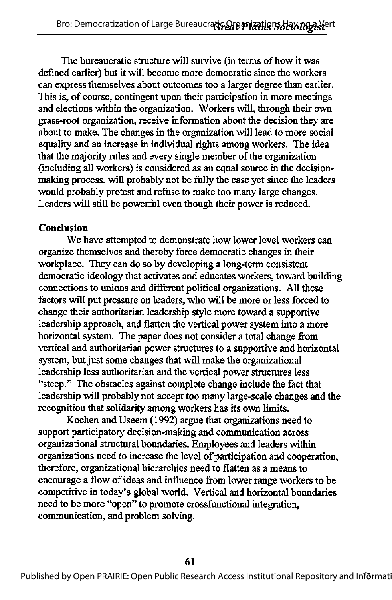The bureaucratic structure will survive (in terms of how it was defined earlier) but it will become more democratic since the workers can express themselves about outcomes too a larger degree than earlier. This is, of course, contingent upon their participation in more meetings and elections within the organization. Workers will, through their own grass-root organization, receive information about the decision they are about to make. The changes in the organization will lead to more social equality and an increase in individual rights among workers. The idea that the majority rules and every single member of the organization (including all workers) is considered as an equal source in the decisionmaking process, will probably not be fully the case yet since the leaders would probably protest and refuse to make too many large changes. Leaders will still be powerful even though their power is reduced.

#### Conclusion

We have attempted to demonstrate how lower level workers can organize themselves and thereby force democratic changes in their workplace. They can do so by developing a long-term consistent democratic ideology that activates and educates workers, toward building connections to unions and different political organizations. All these factors will put pressure on leaders, who will be more or less forced to change their authoritarian leadership style more toward a supportive leadership approach, and flatten the vertical power system into a more horizontal system. The paper does not consider a total change from vertical and authoritarian power structures to a supportive and horizontal system, but just some changes that will make the organizational leadership less authoritarian and the vertical power structures less "steep." The obstacles against complete change include the fact that leadership will probably not accept too many large-scale changes and the recognition that solidarity among workers has its own limits.

Kochen and Useem (1992) argue that organizations need to support participatory decision-making and communication across organizational structural boundaries. Employees and leaders within organizations need to increase the level of participation and cooperation, therefore, organizational hierarchies need to flatten as a means to encourage a flow of ideas and influence from lower range workers to be competitive in today's global world. Vertical and horizontal boundaries need to be more "open" to promote crossfunctional integration, communication, and problem solving.